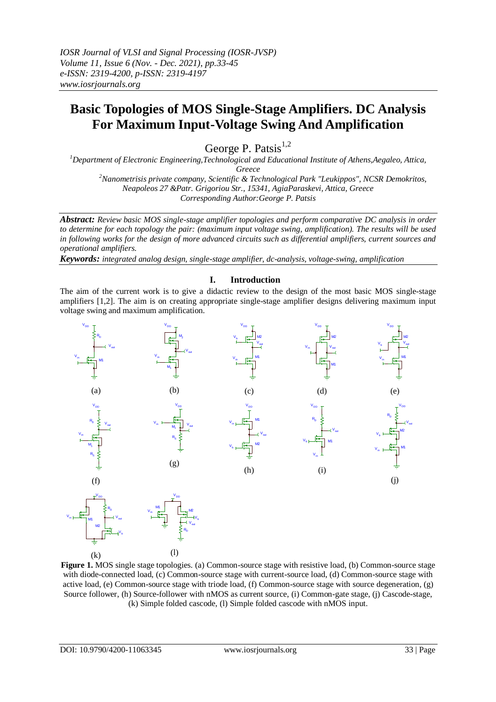# **Basic Topologies of MOS Single-Stage Amplifiers. DC Analysis For Maximum Input-Voltage Swing And Amplification**

George P. Patsis<sup>1,2</sup>

*<sup>1</sup>Department of Electronic Engineering,Technological and Educational Institute of Athens,Aegaleo, Attica, Greece*

*<sup>2</sup>Nanometrisis private company, Scientific & Technological Park "Leukippos", NCSR Demokritos, Neapoleos 27 &Patr. Grigoriou Str., 15341, AgiaParaskevi, Attica, Greece Corresponding Author:George P. Patsis*

*Abstract: Review basic MOS single-stage amplifier topologies and perform comparative DC analysis in order to determine for each topology the pair: (maximum input voltage swing, amplification). The results will be used in following works for the design of more advanced circuits such as differential amplifiers, current sources and operational amplifiers.* 

*Keywords: integrated analog design, single-stage amplifier, dc-analysis, voltage-swing, amplification*

#### **I. Introduction**

The aim of the current work is to give a didactic review to the design of the most basic MOS single-stage amplifiers [1,2]. The aim is on creating appropriate single-stage amplifier designs delivering maximum input voltage swing and maximum amplification.



**Figure 1.** MOS single stage topologies. (a) Common-source stage with resistive load, (b) Common-source stage with diode-connected load, (c) Common-source stage with current-source load, (d) Common-source stage with active load, (e) Common-source stage with triode load, (f) Common-source stage with source degeneration, (g) Source follower, (h) Source-follower with nMOS as current source, (i) Common-gate stage, (j) Cascode-stage, (k) Simple folded cascode, (l) Simple folded cascode with nMOS input.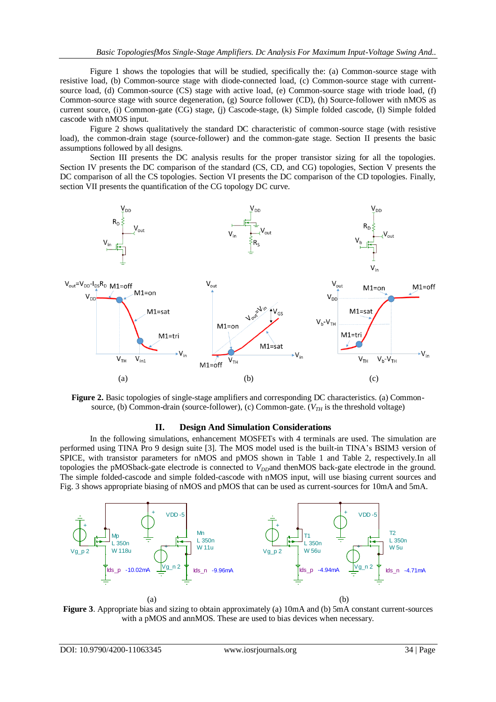Figure 1 shows the topologies that will be studied, specifically the: (a) Common-source stage with resistive load, (b) Common-source stage with diode-connected load, (c) Common-source stage with currentsource load, (d) Common-source (CS) stage with active load, (e) Common-source stage with triode load, (f) Common-source stage with source degeneration, (g) Source follower (CD), (h) Source-follower with nMOS as current source, (i) Common-gate (CG) stage, (j) Cascode-stage, (k) Simple folded cascode, (l) Simple folded cascode with nMOS input.

Figure 2 shows qualitatively the standard DC characteristic of common-source stage (with resistive load), the common-drain stage (source-follower) and the common-gate stage. Section II presents the basic assumptions followed by all designs.

Section III presents the DC analysis results for the proper transistor sizing for all the topologies. Section IV presents the DC comparison of the standard (CS, CD, and CG) topologies, Section V presents the DC comparison of all the CS topologies. Section VI presents the DC comparison of the CD topologies. Finally, section VII presents the quantification of the CG topology DC curve.





#### **II. Design And Simulation Considerations**

In the following simulations, enhancement MOSFETs with 4 terminals are used. The simulation are performed using TINA Pro 9 design suite [3]. The MOS model used is the built-in TINA's BSIM3 version of SPICE, with transistor parameters for nMOS and pMOS shown in Table 1 and Table 2, respectively.In all topologies the pMOSback-gate electrode is connected to *V<sub>DD</sub>*and thenMOS back-gate electrode in the ground. The simple folded-cascode and simple folded-cascode with nMOS input, will use biasing current sources and Fig. 3 shows appropriate biasing of nMOS and pMOS that can be used as current-sources for 10mA and 5mA.



**Figure 3**. Appropriate bias and sizing to obtain approximately (a) 10mA and (b) 5mA constant current-sources with a pMOS and annMOS. These are used to bias devices when necessary.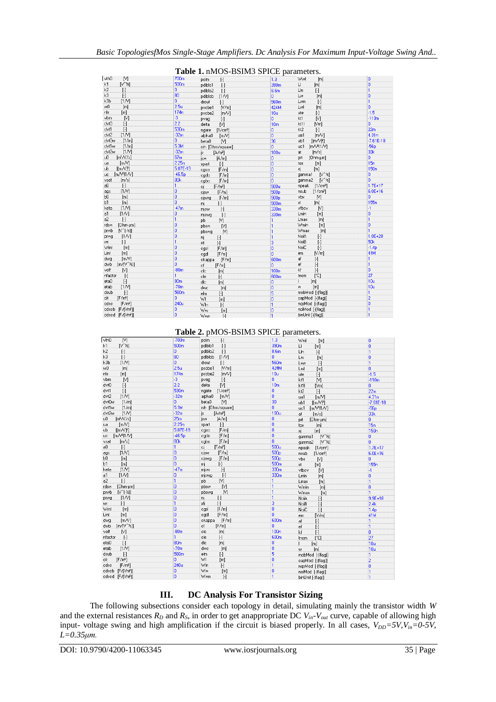|                                             |                  | $\alpha$ and $\beta$ is not been $\beta$ in the parameters. |                  |                                  |                  |
|---------------------------------------------|------------------|-------------------------------------------------------------|------------------|----------------------------------|------------------|
| vthO<br>M                                   | 700m             | pelm<br>H                                                   | 1.3 <sup>°</sup> | Wwl<br>[m]                       | 'n               |
| $N^{\wedge}$ $\leq$<br>k1                   | 500m             | pdiblc1<br>$[ \cdot ]$                                      | 390m             | U.<br>[m]                        | 0                |
| k2<br>H                                     | 0.               | pdiblc2<br>$\lbrack \cdot \rbrack$                          | 8.6 <sub>m</sub> | Lln<br>$\lbrack \cdot \rbrack$   | 1                |
| kЗ<br>$\lceil \cdot \rceil$                 | 80               | pdiblcb<br>[1N]                                             | n.               | Lw<br>[m]                        | 0                |
| k3b<br>[1N]                                 | o.               | drout<br>$\lbrack \cdot \rbrack$                            | 560m             | Lwn<br>$\lbrack \cdot \rbrack$   | 1                |
| wO<br>[m]                                   | 2.5 <sub>u</sub> | pscbe1<br>[N/m]                                             | 424M             | Lwl<br>[m]                       | Ō.               |
| nlx<br>[m]                                  | 174n             | pscbe2<br>[m/V]                                             | 10u              | ute<br>$\lbrack \cdot \rbrack$   | $-1.5$           |
| vbm<br>M                                    | -3               | $[\cdot]$<br>pvag                                           | O.               | kt1<br>M                         | $-110m$          |
| 0/vb<br>$[\cdot]$                           | $2.2^{\circ}$    | M.<br>delta                                                 | 10 <sub>m</sub>  | kt11<br>[Vm]                     | 0.               |
| dvt1<br>$[\cdot]$                           | 530m             | ngate<br>[1/cm <sup>3</sup> ]                               | 0                | kt2<br>$\lceil \cdot \rceil$     | 22m              |
| [1N]<br>dvt2                                | $-32m$           | alpha0<br>[m/V]                                             | o.               | [m/V]<br>ua1                     | 4.31n            |
| dvt0w<br>[1/m]                              | o.               | beta0<br>N                                                  | 30               | [ [m/V]<br>ub1                   | $-7.61E - 18$    |
| dvt1w<br>[1/m]                              | 5.3M             | rsh [Ohm/square]                                            | n.               | [m/ $V^2$ [1/ $V$ ]<br>uc1       | $-56p$           |
| [1N]<br>dvt2w                               | $-32m$           | js –<br>[A/m <sup>2</sup> ]                                 | 100u             | [m/s]<br>at                      | 33k              |
| $[m^2N/s]$<br>u0.                           | 67m              | [A/m]<br>jsw                                                | ٥                | [Ohm·µm]<br>prt                  | o.               |
| [mN]<br>ua.                                 | 2.25n            | $\lbrack \cdot \rbrack$<br>xpart                            | ō                | [m]<br>tox                       | 15n              |
| $[$ [m $\mathcal{N}$ f $]$ ]<br>ub.         | 5.87E-19         | [F/m]<br>cgso                                               | ō                | [m]<br>×j.                       | 150 <sub>n</sub> |
| uc [m/Vº 1/V]                               | $-46.5p$         | [F/m]<br>cado                                               | ō                | $N^*$ kl<br>gamma1               | n                |
| vsat<br>[m/s]                               | 80k              | [F/m]<br>cgbo                                               | o.               | gamma2 [V^12]                    | n                |
| $[\cdot]$<br>aO.                            | 1                | [F/m <sup>2</sup> ]<br>cj                                   | 500u             | 1/cm <sup>3</sup><br>npeak       | $1.7E + 17$      |
| [1N]<br>ags                                 | ٥                | [F/m]<br>cisw                                               | 500 <sub>D</sub> | nsub<br>[1/cm <sup>3</sup> ]     | 6.0E+16          |
| ЬΟ.<br>[m]                                  | ٥                | [F/m]<br>ciswg                                              | 500 <sub>p</sub> | [V]<br>vbx                       | n                |
| Ы.<br>[m]                                   | ō                | $\lbrack \cdot \rbrack$<br>mį                               | 500 <sub>m</sub> | [m]<br>xt.                       | 155 <sub>n</sub> |
| [1N]<br>keta                                | $-47m$           | $[\cdot]$<br>misw                                           | 330m             | vfbcv<br>$\mathbb{N}$            | -1               |
| [1N]<br>a1                                  | ٥                | pwajm.<br>$\mathbb{H}$                                      | 330m             | <b>Lmin</b><br>[m]               | n                |
| a2.<br>$\lbrack \cdot \rbrack$              | 1                | M<br>pb                                                     | 1                | Lmax<br>[ <sub>m</sub> ]         | 1                |
| rdsw<br>[Ohm-um]                            | ō                | wada.<br>M                                                  | 1                | <b>Wmin</b><br>[m]               | ō                |
| $[V^{\uparrow}[\cdot \mathcal{V}]]$<br>prwb | ō                | pbswg<br>M.                                                 |                  | Wmax<br>[m]                      |                  |
| [1N]<br>prwg                                | ō                | nį.<br>H.                                                   |                  | NoiA<br>$[\cdot]$                | $1.0E + 20$      |
| $\lbrack \cdot \rbrack$<br>Wľ               | 1                | $\left[\cdot\right]$<br>xti                                 | 3                | <b>NoiB</b><br>$[\cdot]$         | 50 <sub>k</sub>  |
| Wint<br>[m]                                 | ō                | [F/m]<br>cgsl                                               | ö                | NoiC<br>$[\cdot]$                | $-1.4p$          |
| Lint<br>[m]                                 | ō                | cgdl<br>[F/m]                                               | ō                | [N/m]<br>em                      | 41M              |
| [m/V]<br>dwa                                | ō                | ckappa [F/m]                                                | 600m             | af<br>H                          | 1                |
| $[m/V^*12]$<br>dwb                          | n                | cf<br>[F/m]                                                 | 0                | $[\cdot]$<br>ef                  | 1                |
| [ <sub>M</sub> ]<br>voff                    | $-80m$           | cle<br>[m]                                                  | 100n             | kf<br>$[ \cdot ]$                | n                |
| nfactor<br>$\lbrack \cdot \rbrack$          |                  | cle<br>$[\cdot]$                                            | 600m             | [°C]<br>tnom                     | 27               |
| etaO.<br>$[\cdot]$                          | 80 <sub>m</sub>  | dle<br>[ <sub>m</sub> ]                                     | ٥                | [ <sub>m</sub> ]<br>$\mathbf{L}$ | 10u              |
| [1N]<br>etab                                | $-70m$           | dwc<br>[m]                                                  | 0                | [m]<br>W.                        | 10u              |
| $[\cdot]$<br>dsub                           | 560m             | elm<br>$[\cdot]$                                            | 5                | mobMod [-[flag]]                 | 1                |
| [F/m <sup>2</sup> ]<br>cit                  | n                | WI.<br>[m]                                                  | ٥                | capMod [-[flag]]                 | $\overline{2}$   |
| [F/m <sup>2</sup> ]<br>edse.                | 240u             | Wln<br>$\lbrack \cdot \rbrack$                              |                  | ngsMod [-[flag]]                 | 0                |
| cdscb [F/(Vm <sup>2</sup> )]                | ٥                | Ww.<br>[m]                                                  | ٥                | noiMod [-[flag]]                 |                  |
| edsed IF/Mm?11                              | n                | And Company<br>$\blacksquare$                               |                  | hinl Init [-(flan]]              |                  |

# **Table 1.** nMOS-BSIM3 SPICE parameters.

**Table 2.** pMOS-BSIM3 SPICE parameters.

| vth0<br>M                       | $-700m$          | pclm<br>H                       | 1.3              | Wwl<br>[m]                                                                                                                                                                                                 | o                |
|---------------------------------|------------------|---------------------------------|------------------|------------------------------------------------------------------------------------------------------------------------------------------------------------------------------------------------------------|------------------|
| $[V^{\wedge}$ $k]$<br>k1        | 500 <sub>m</sub> | pdiblc1<br>$[\cdot]$            | 390m             | LI<br>[m]                                                                                                                                                                                                  | n                |
| k <sub>2</sub><br>$[\cdot]$     | ٥                | pdiblc2<br>$[\cdot]$            | 8.6m             | LIn<br>$[\cdot]$                                                                                                                                                                                           | 1                |
| k3<br>$[\cdot]$                 | 80               | [1N]<br>pdiblcb                 | 0                | [m]<br>Lw                                                                                                                                                                                                  | o                |
| k3b<br>[1N]                     | ō                | drout<br>$[\cdot]$              | 560 <sub>m</sub> | Lwn<br>$[\cdot]$                                                                                                                                                                                           | 1                |
| wŪ<br>[m]                       | 2.5 <sub>u</sub> | [N/m]<br>pscbe1                 | 424M             | Lwl<br>[m]                                                                                                                                                                                                 | ō                |
| nlx<br>[m]                      | 174 <sub>n</sub> | pscbe2<br>[m/V]                 | 10u              | ute<br>$[\cdot]$                                                                                                                                                                                           | $-1.5$           |
| [1]<br>vbm                      | -3               | $\lbrack \cdot \rbrack$<br>pvag | o                | M)<br>kt1                                                                                                                                                                                                  | $-110m$          |
| dvt0<br>$\lbrack \cdot \rbrack$ | 2.2              | M)<br>delta                     | 10 <sub>m</sub>  | kt11<br>[Vm]                                                                                                                                                                                               | o                |
| dvt1<br>$\lbrack \cdot \rbrack$ | 530m             | [1/cm <sup>3</sup> ]<br>ngate   | o                | kt2<br>$[\cdot]$                                                                                                                                                                                           | 22m              |
| dvt2<br>[1N]                    | $-32m$           | alpha0<br>[m/V]                 | ö                | [m/V]<br>ua1                                                                                                                                                                                               | 4.31n            |
| dvt0w<br>[1/m]                  | ٥                | N<br>beta0                      | 30               | $[(m/V)^2]$<br>ub1                                                                                                                                                                                         | $-7.61E - 18$    |
| dvt1w<br>[1/m]                  | 5.3M             | rsh [Ohm/square]                | ō                | uc1<br>$[m/V2]$ $N$ ]                                                                                                                                                                                      | $-56p$           |
| dvt2w<br>[1N]                   | $-32m$           | is<br>[A/m <sup>2</sup> ]       | 100u             | [m/s]<br>at.                                                                                                                                                                                               | 33k              |
| [m <sup>2</sup> /V/s]<br>u0     | 25m              | [A/m]<br>isw                    | Ō                | <b>prt</b><br>[Ohm·µm]                                                                                                                                                                                     | o.               |
| [m/V]<br>ua                     | 2.25n            | $[\cdot]$<br>xpart              | ö                | tox<br>[m]                                                                                                                                                                                                 | 15n              |
| [ImN]<br>ub                     | 5.87E-19         | [F/m]<br>cgso                   | o                | хį<br>[m]                                                                                                                                                                                                  | 150 <sub>n</sub> |
| $[m/V2]$ 1/V]<br>uc.            | $-46.5p$         | [F/m]<br>cgdo                   | ö                | $N^2$ $\approx$<br>gamma1                                                                                                                                                                                  | o                |
| [m/s]<br>vsat                   | 80 <sub>k</sub>  | cqbo<br>[F/m]                   | o                | $N^2$ $\approx$<br>gamma2                                                                                                                                                                                  | o                |
| $[\cdot]$<br>a0                 | 1                | [F/m <sup>2</sup> ]<br>cj       | 500u             | npeak<br>[1/cm <sup>3</sup> ]                                                                                                                                                                              | $1.7E + 17$      |
| [1N]<br>ags                     | o                | cisw<br>[F/m]                   | 500 <sub>p</sub> | nsub<br>[1/cm <sup>3</sup> ]                                                                                                                                                                               | $6.0E + 16$      |
| bО<br>[m]                       | ö                | [F/m]<br>ciswq                  | 500 <sub>p</sub> | vbx<br>[1]                                                                                                                                                                                                 | ō                |
| [ <sub>m</sub> ]<br>Ь1          | ō                | $\lbrack \cdot \rbrack$<br>mį   | 500 <sub>m</sub> | xt.<br>[m]                                                                                                                                                                                                 | 155 <sub>n</sub> |
| [1N]<br>keta                    | $-47m$           | $\mathbb{H}$<br>mjsw            | 330m             | vfbcv<br>M)                                                                                                                                                                                                | $\mathbf{F}$     |
| [1N]<br>a1                      | ō                | $[\cdot]$<br>miswq              | 330m             | Lmin<br>[m]                                                                                                                                                                                                | 0                |
| a <sup>2</sup><br>$[\cdot]$     | 1                | pb<br>M                         |                  | Lmax<br>[m]                                                                                                                                                                                                | 1                |
| rdsw<br>[Ohm-um]                | o                | pbsw<br>[V]                     |                  | Wmin<br>[m]                                                                                                                                                                                                | o                |
| $[V^(·k)]$<br>prwb              | ö                | [1]<br>pbswq                    |                  | Wmax<br>[m]                                                                                                                                                                                                | 1                |
| [1N]<br>prwg                    | o                | nį.<br>$\lbrack \cdot \rbrack$  |                  | NoiA<br>$[\cdot] % \centering % {\includegraphics[width=0.9\textwidth]{images/TrDiS/NR_WU.pdf} \caption{The figure shows the results of the estimators in the left and right.} \label{fig:TrDiS/NR_WU}} %$ | $9.9E + 18$      |
| H<br>WE                         | 1                | $[\cdot]$<br>xti                | 3                | NoiB<br>$[\cdot] % \centering % {\includegraphics[width=0.9\textwidth]{images/TrDiS/NR_WU.pdf} \caption{The figure shows the results of the estimators in the left and right.} \label{fig:TrDiS/NR_WU}} %$ | 2.4k             |
| Wint<br>[m]                     | o                | [F/m]<br>casl                   | Ō                | NoiC<br>$[\cdot]$                                                                                                                                                                                          | 1.4 <sub>p</sub> |
| Lint<br>[ <sub>m</sub> ]        | ö                | [F/m]<br>cadl                   | ö                | N/m<br>em                                                                                                                                                                                                  | 41M              |
| [mN]<br>dwa                     | o                | ckappa<br>[F/m]                 | 600m             | af<br>$[\cdot]$                                                                                                                                                                                            | 1                |
| $[m/V^*k]$<br>dwb               | ö                | cf<br>[F/m]                     | o                | ef<br>$\lbrack \cdot \rbrack$                                                                                                                                                                              | 1                |
| voff<br>M                       | $-80m$           | clc<br>[m]                      | 100n             | kf<br>$[\cdot]$                                                                                                                                                                                            | o                |
| $[\cdot]$<br>nfactor            | 1                | cle<br>$[\cdot]$                | 600m             | [°C]<br>tnom                                                                                                                                                                                               | 27               |
| $[\cdot]$<br>etaO               | 80 <sub>m</sub>  | dle<br>[m]                      | o                | [m]                                                                                                                                                                                                        | 10u              |
| etab<br>[1N]                    | $-70m$           | dwc<br>[m]                      | o                | [ <sub>m</sub> ]<br>W                                                                                                                                                                                      | 10u              |
| $[\cdot]$<br>dsub               | 560m             | elm<br>$\lbrack \cdot \rbrack$  | 5                | mobMod [-[flag]]                                                                                                                                                                                           | 1                |
| [F/m <sup>2</sup> ]<br>cit      | o                | WI<br>[m]                       | ō                | capMod [-[flag]]                                                                                                                                                                                           | $\overline{2}$   |
| cdsc<br>[F/m <sup>2</sup> ]     | 240u             | Wln<br>$\left[\cdot\right]$     |                  | ngsMod [-[flag]]                                                                                                                                                                                           | o                |
| cdscb [F/[Vm2]]                 | o                | Ww<br>[m]                       | o                | noiMod [-(flag)]                                                                                                                                                                                           | 1                |
| cdscd [F/(Vm2)]                 | o                | Wwn<br>$[\cdot]$                |                  | binUnit [-[flag]]                                                                                                                                                                                          |                  |

# **III. DC Analysis For Transistor Sizing**

The following subsections consider each topology in detail, simulating mainly the transistor width *W* and the external resistances  $R_D$  and  $R_S$ , in order to get anappropriate DC  $V_{in}$ <sup>*V*<sub>out</sub> curve, capable of allowing high</sup> input- voltage swing and high amplification if the circuit is biased properly. In all cases,  $V_{DD} = 5V$ ,  $V_{in} = 0.5V$ , *L=0.35μm.*

 $\overline{1}$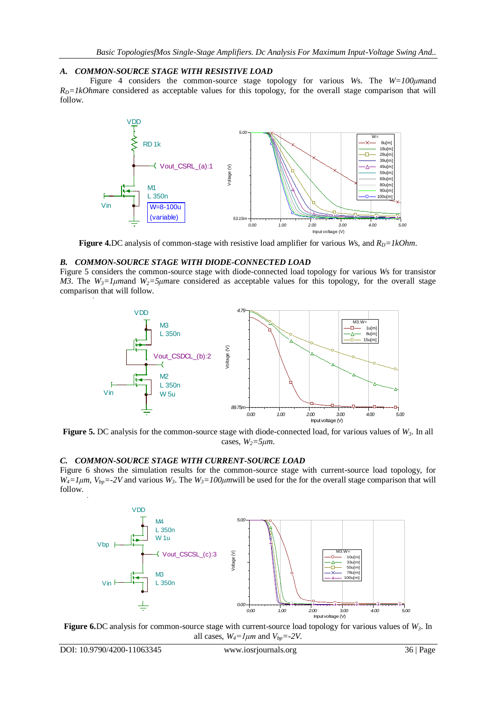# *A. COMMON-SOURCE STAGE WITH RESISTIVE LOAD*

Figure 4 considers the common-source stage topology for various *W*s. The *W=100μm*and  $R<sub>D</sub>=1kOhmare considered as acceptable values for this topology, for the overall stage comparison that will$ follow.



**Figure 4.**DC analysis of common-stage with resistive load amplifier for various *Ws*, and  $R_D = lkOhm$ .

#### *B. COMMON-SOURCE STAGE WITH DIODE-CONNECTED LOAD*

Figure 5 considers the common-source stage with diode-connected load topology for various *W*s for transistor *M3*. The  $W_3 = 1 \mu$  *M*<sup>2</sup>  $\mu$ <sup>2</sup>*z*  $\mu$  *M*<sup>2</sup>  $\mu$ <sup>2</sup> *M*<sup>2</sup>  $\mu$ <sup>2</sup> *M*<sup>2</sup> *M*<sup>2</sup> *M*<sup>2</sup> *M*<sup>2</sup> *M*<sup>2</sup> *M*<sup>2</sup> *M*<sup>2</sup> *M*<sup>2</sup> *M*<sup>2</sup> *M*<sup>2</sup> *M*<sup>2</sup> *M*<sup>2</sup> *M*<sup>2</sup> *M*<sup>2</sup> *M*<sup>2</sup> *M*<sup>2</sup> *M*<sup>2</sup> *M*<sup>2</sup> *M*<sup>2</sup> *M*<sup>2</sup> *M*<sup>2</sup> comparison that will follow.



**Figure 5.** DC analysis for the common-source stage with diode-connected load, for various values of *W3*. In all cases,  $W_2 = 5 \mu m$ .

#### *C. COMMON-SOURCE STAGE WITH CURRENT-SOURCE LOAD*

Figure 6 shows the simulation results for the common-source stage with current-source load topology, for  $W_4 = 1 \mu m$ ,  $V_{bp} = -2V$  and various  $W_3$ . The  $W_3 = 100 \mu m$  will be used for the for the overall stage comparison that will follow.



**Figure 6.**DC analysis for common-source stage with current-source load topology for various values of *W3*. In all cases,  $W_4 = l \mu m$  and  $V_{bn} = -2V$ .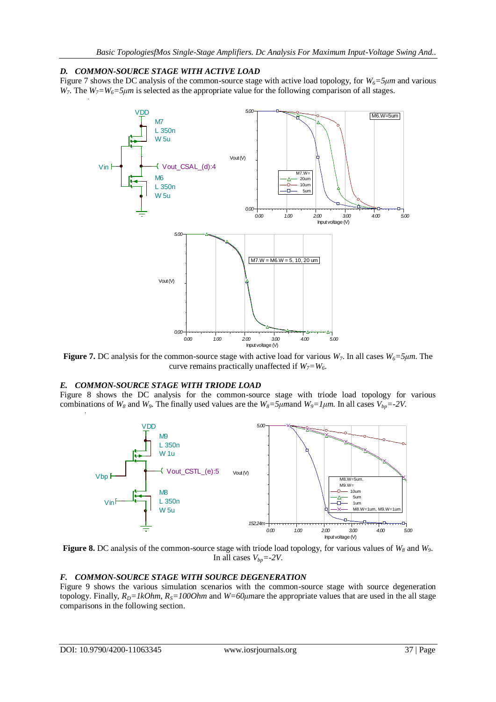# *D. COMMON-SOURCE STAGE WITH ACTIVE LOAD*

Figure 7 shows the DC analysis of the common-source stage with active load topology, for  $W_6 = 5\mu m$  and various *W*<sub>7</sub>. The *W*<sub>7</sub>=*W*<sub>6</sub>=5μm is selected as the appropriate value for the following comparison of all stages.



**Figure 7.** DC analysis for the common-source stage with active load for various *W7*. In all cases *W6=5μm*. The curve remains practically unaffected if  $W_7 = W_6$ .

# *E. COMMON-SOURCE STAGE WITH TRIODE LOAD*

Figure 8 shows the DC analysis for the common-source stage with triode load topology for various combinations of  $W_8$  and  $W_9$ . The finally used values are the  $W_8$ =5 $\mu$ mand  $W_9$ =1 $\mu$ m. In all cases  $V_{bp}$ =-2 $V$ .



**Figure 8.** DC analysis of the common-source stage with triode load topology, for various values of *W<sup>8</sup>* and *W9*. In all cases  $V_{bp} = -2V$ .

#### *F. COMMON-SOURCE STAGE WITH SOURCE DEGENERATION*

Figure 9 shows the various simulation scenarios with the common-source stage with source degeneration topology. Finally,  $R_D = lkOhm$ ,  $R_S = 100Ohm$  and  $W = 60 \mu m$  are the appropriate values that are used in the all stage comparisons in the following section.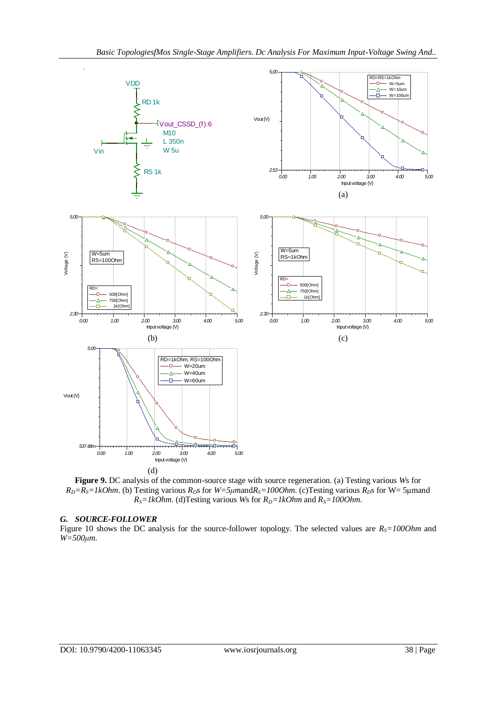

**Figure 9.** DC analysis of the common-source stage with source regeneration. (a) Testing various *W*s for  $R_D = R_S = IkOhm$ . (b) Testing various  $R_D$ s for  $W = 5\mu m$  and  $R_S = 100Ohm$ . (c) Testing various  $R_D$ s for  $W = 5\mu m$  and  $R_S = lkOhm$ . (d)Testing various *Ws* for  $R_D = lkOhm$  and  $R_S = 100Ohm$ .

#### *G. SOURCE-FOLLOWER*

Figure 10 shows the DC analysis for the source-follower topology. The selected values are  $R<sub>S</sub>=1000$ hm and *W=500μm*.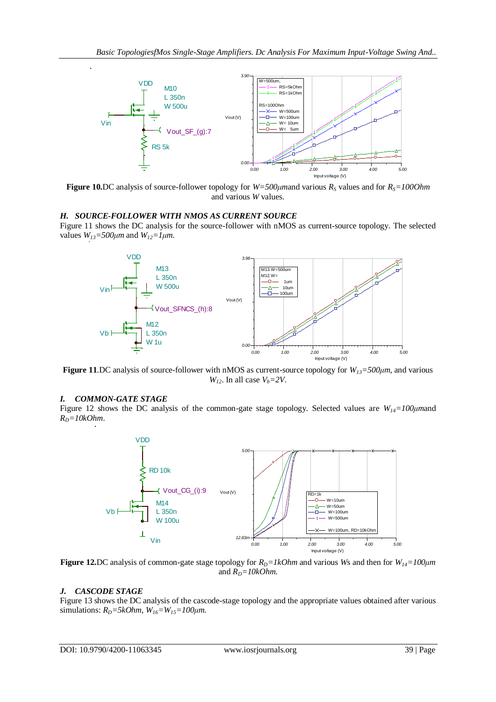

**Figure 10.**DC analysis of source-follower topology for *W=500μm*and various *R<sup>S</sup>* values and for *RS=100Ohm* and various *W* values.

### *H. SOURCE-FOLLOWER WITH NMOS AS CURRENT SOURCE*

Figure 11 shows the DC analysis for the source-follower with nMOS as current-source topology. The selected values  $W_{13} = 500 \mu m$  and  $W_{12} = 1 \mu m$ .



**Figure 11**.DC analysis of source-follower with nMOS as current-source topology for *W13=500μm*, and various *W*<sub>12</sub>. In all case  $V_b = 2V$ .

#### *I. COMMON-GATE STAGE*

Figure 12 shows the DC analysis of the common-gate stage topology. Selected values are *W14=100μm*and  $R_D = 10kOhm$ .



**Figure 12.**DC analysis of common-gate stage topology for  $R_D = lkOhm$  and various *Ws* and then for  $W_{14} = 100 \mu m$ and  $R_D = 10kOhm$ .

#### *J. CASCODE STAGE*

Figure 13 shows the DC analysis of the cascode-stage topology and the appropriate values obtained after various simulations:  $R_D = 5kOhm$ ,  $W_{16} = W_{15} = 100 \mu m$ .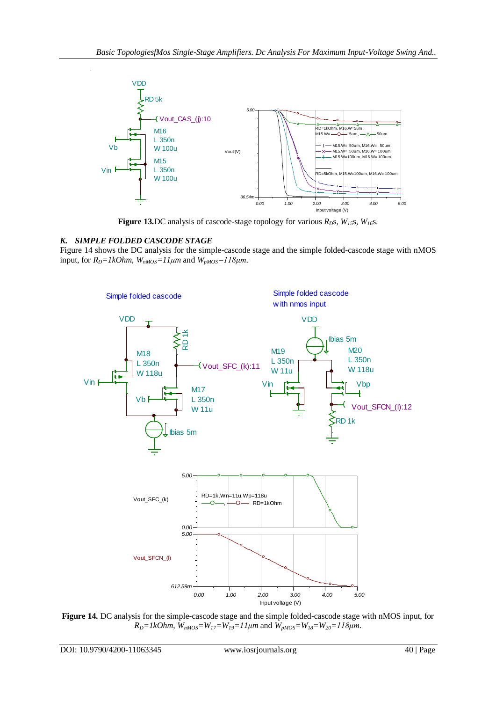

**Figure 13.**DC analysis of cascode-stage topology for various  $R_D$ s,  $W_{15}$ s,  $W_{16}$ s.

# *K. SIMPLE FOLDED CASCODE STAGE*

Figure 14 shows the DC analysis for the simple-cascode stage and the simple folded-cascode stage with nMOS input, for  $R_D = lkOhm$ ,  $W_{nMOS} =11 \mu m$  and  $W_{pMOS} =118 \mu m$ .



**Figure 14.** DC analysis for the simple-cascode stage and the simple folded-cascode stage with nMOS input, for  $R_D = IkOhm$ ,  $\overline{W}_{nMOS} = W_{17} = W_{19} = 11 \mu m$  and  $\overline{W}_{pMOS} = W_{18} = W_{20} = 118 \mu m$ .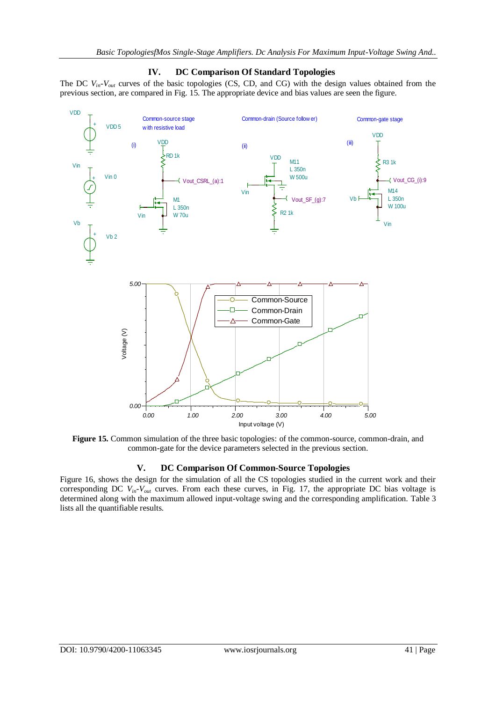

# **IV. DC Comparison Of Standard Topologies**

The DC  $V_{in}$ - $V_{out}$  curves of the basic topologies (CS, CD, and CG) with the design values obtained from the

**Figure 15.** Common simulation of the three basic topologies: of the common-source, common-drain, and common-gate for the device parameters selected in the previous section.

# **V. DC Comparison Of Common-Source Topologies**

Figure 16, shows the design for the simulation of all the CS topologies studied in the current work and their corresponding DC *Vin-Vout* curves. From each these curves, in Fig. 17, the appropriate DC bias voltage is determined along with the maximum allowed input-voltage swing and the corresponding amplification. Table 3 lists all the quantifiable results.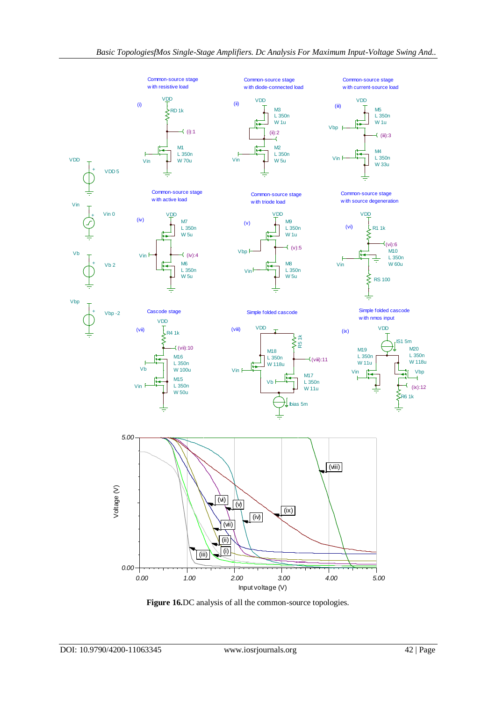

**Figure 16.**DC analysis of all the common-source topologies.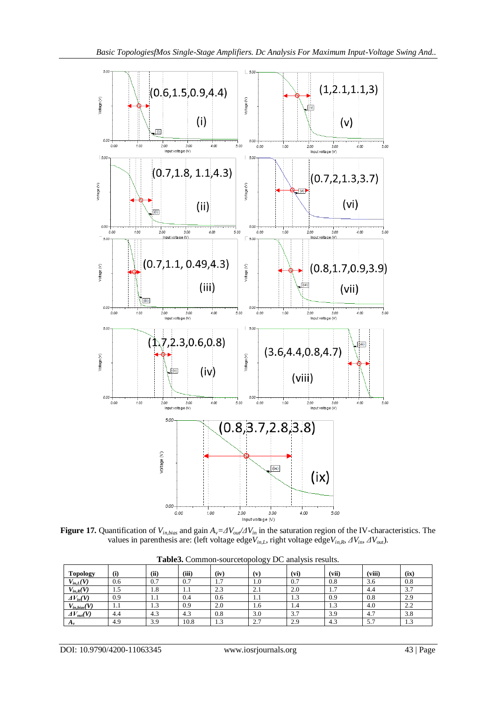

**Figure 17.** Quantification of  $V_{in, bias}$  and gain  $A_v = \frac{dV_{out}}{dV_{in}}$  in the saturation region of the IV-characteristics. The values in parenthesis are: (left voltage edge*Vin,L*, right voltage edge*Vin,R*, *ΔVin*, *ΔV*out).

| <b>Topology</b>     | (i) | (ii)          | (iii)      | (iv)                      | (v) | (vi) | (vii)    | (viii) | (ix) |
|---------------------|-----|---------------|------------|---------------------------|-----|------|----------|--------|------|
| $V_{in,L}(V)$       | 0.6 | 0.7           | 0.7        | $\overline{ }$<br>$\cdot$ | 1.0 | 0.7  | 0.8      | 3.6    | 0.8  |
| $V_{in,R}(V)$       | 1.5 | 1.8           | 1.1        | 2.3                       | 2.1 | 2.0  | −<br>1.1 | 4.4    | 3.7  |
| $\Delta V_{in}(V)$  | 0.9 | 1.1           | 0.4        | 0.6                       | 1.1 | 1.3  | 0.9      | 0.8    | 2.9  |
| $V_{in, bias}(V)$   | 1.1 | $\sim$<br>1.3 | 0.9        | 2.0                       | 1.6 | 1.4  | د. 1     | 4.0    | 2.2  |
| $\Delta V_{out}(V)$ | 4.4 | $\sim$<br>4.3 | ר ו<br>4.3 | 0.8                       | 3.0 | 3.7  | 3.9      | 4.7    | 3.8  |
| $A_v$               | 4.9 | 3.9           | 10.8       | $\sim$<br>1.J             | 2.7 | 2.9  | 4.3      | 5.7    | 1.3  |

**Table3.** Common-sourcetopology DC analysis results.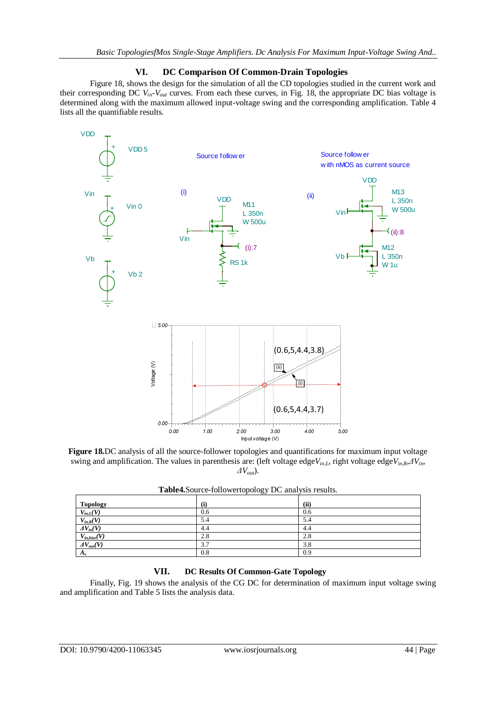# **VI. DC Comparison Of Common-Drain Topologies**

Figure 18, shows the design for the simulation of all the CD topologies studied in the current work and their corresponding DC  $V_{in}$ - $V_{out}$  curves. From each these curves, in Fig. 18, the appropriate DC bias voltage is determined along with the maximum allowed input-voltage swing and the corresponding amplification. Table 4 lists all the quantifiable results.



**Figure 18.**DC analysis of all the source-follower topologies and quantifications for maximum input voltage swing and amplification. The values in parenthesis are: (left voltage edge*Vin,L*, right voltage edge*Vin,R*,*ΔVin*, *ΔVout*).

| <b>Topology</b>     | (i) | (ii) |  |  |  |
|---------------------|-----|------|--|--|--|
| $V_{in,L}(V)$       | 0.6 | 0.6  |  |  |  |
| $V_{in,R}(V)$       | 5.4 | 5.4  |  |  |  |
| $\Delta V_{in}(V)$  | 4.4 | 4.4  |  |  |  |
| $V_{in, bias}(V)$   | 2.8 | 2.8  |  |  |  |
| $\Delta V_{out}(V)$ | 3.7 | 3.8  |  |  |  |
| $A_{\nu}$           | 0.8 | 0.9  |  |  |  |
|                     |     |      |  |  |  |

**Table4.**Source-followertopology DC analysis results.

# **VII. DC Results Of Common-Gate Topology**

Finally, Fig. 19 shows the analysis of the CG DC for determination of maximum input voltage swing and amplification and Table 5 lists the analysis data.